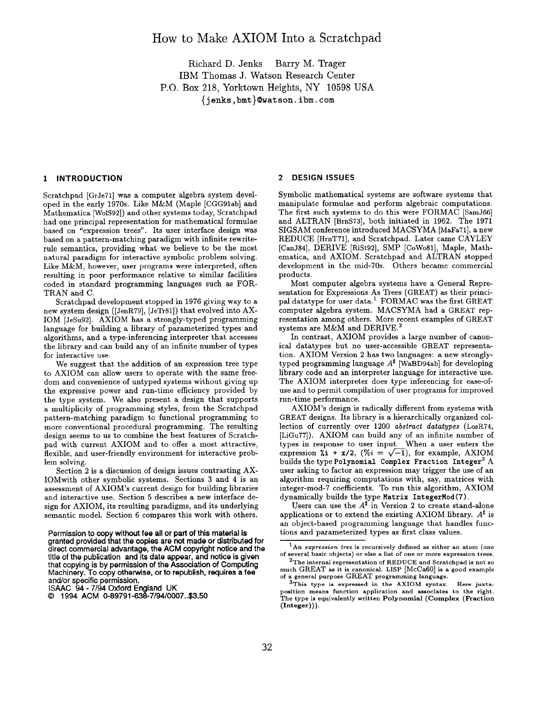# How to Make AXIOM Into a Scratchpad

Richard D. Jenks Barry M. Trager IBM Thomas J. Watson Research Center P.O. Box 218, Yorktown Heights, NY 10598 USA {jenks ,bmt}@watson. ibm. com

# 1 INTRODUCTION

Scratchpad [GrJe71] was a computer algebra system developed in the early 1970s. Like M&M (Maple [CGG91ab] and Mathematica [WolS92]) and other systems today, Scratchpad had one principal representation for mathematical formulae based on "expression trees". Its user interface design was based on a pattern-matching paradigm with infinite rewriterule semantics, providing what we believe to be the most natural paradigm for interactive symbolic problem solving. Like M&M, however, user programs were interpreted, often resulting in poor performance relative to similar facilities coded in standard programming languages such as FOR-TRAN and C.

Scratchpad development stopped in 1976 giving way to a new system design ([JenR79], [JeTr81]) that evolved into AX-IOM [JeSu92]. AXIOM has a strongly-typed programming language for building a library of parameterized types and algorithms, and a type-inferencing interpreter that accesses the library and can build any of an infinite number of types for interactive use.

We suggest that the addition of an expression tree type to AXIOM can allow users to operate with the same freedom and convenience of untyped systems without giving up the expressive power and run-time efficiency provided by the type system. We also present a design that supports a multiplicity of programming styles, from the Scratchpad pattern-matching paradigm to functional programming to more conventional procedural programming. The resulting design seems to us to combine the best features of Scratchpad with current AXIOM and to offer a most attractive, flexible, and user-friendly environment for interactive problem solving.

Section 2 is a discussion of design issues contrasting AX-IOMwith other symbolic systems. Sections 3 and 4 is an assessment of AXIOM's current design for building libraries and interactive use. Section 5 describes a new interface design for AXIOM, its resulting paradigms, and its underlying semantic model. Section 6 compares this work with others.

Permission to copy without fee all or part of this material is granted provided that the copies are not made or distributed for direct commercial advantage, the ACM copyright notice and the title of the publication and its date appear, and notice is given that copying is by permission of the Association of Computing Machinery. To copy otherwise, or to republish, requires a fee and/or specific permission.

ISAAC 94- 7/94 Oxford England UK

# 2 DESIGN ISSUES

Symbolic mathematical systems are software systems that manipulate formulae and perform algebraic computations. The first such systems to do this were FORMAC [SamJ66] and ALTRAN [BrnS73], both initiated in 1962. The 1971 SIGSAM conference introduced MACSYMA [MaFa71], a new REDUCE [HrnT71], and Scratchpad. Later came CAYLEY [CanJ84], DERIVE [RiSt92], SMP [COW081], Maple, Mathematica, and AXIOM. Scratchpad and ALTRAN stopped development in the mid-70s. Others became commercial products.

Most computer algebra systems have a General Representation for Expressions As Trees (GREAT) as their principal datatype for user data.1 FORMAC was the first GREAT computer algebra system, MACSYMA had a GREAT representation among others. More recent examples of GREAT systems are M&M and DERIVE.2

In contrast, AXIOM provides a large number of canonical datatypes but no user-accessible GREAT representation. AXIOM Version 2 has two languages: a new stronglytyped programming language  $A^{\sharp}$  [WaBD94ab] for developing library code and an interpreter language for interactive use. The AXIOM interpreter does type inferencing for ease-ofuse and to permit compilation of user programs for improved run-time performance.

AXIOM's design is radically different from systems with GREAT designs. Its library is a hierarchically organized collection of currently over  $1200$  abstract datatypes (LosR74, [LiGu77]). AXIOM can build any of an infinite number of types in response to user input. When a user enters the expression  $\lambda i$  +  $x/2$ ,  $(\% i = \sqrt{-1})$ , for example, AXIOM builds the type Polynomial Complex Fraction Integer<sup>3</sup> A user asking to factor an expression may trigger the use of an algorithm requiring computations with, say, matrices with integer-mod-7 coefficients. To run this algorithm, AXIOM dynamically builds the type Matrix IntegerMod(7).

Users can use the  $A^{\sharp}$  in Version 2 to create stand-alone applications or to extend the existing AXIOM library.  $A^{\sharp}$  is an object-based programming language that handles functions and parameterized types as first class values.

<sup>0</sup> 1994 ACM 0-89791 -838-7/84/0007..\$3.50

 $1$ An expression tree is recursively defined as either an atom (one of several basic objects) or else a list of one or more expression trees.

 $2$ The internal representation of REDUCE and Scratchpad is not so much GREAT as it is canonical. LISP [McCa60] is a good example of a general purpose GREAT programming language.

 $3$ This type is expressed in the AXIOM syntax. Here juxtaposition means function application and associates to the right. The type is equivalently written Polynomial (Complex (Fraction (Integer))).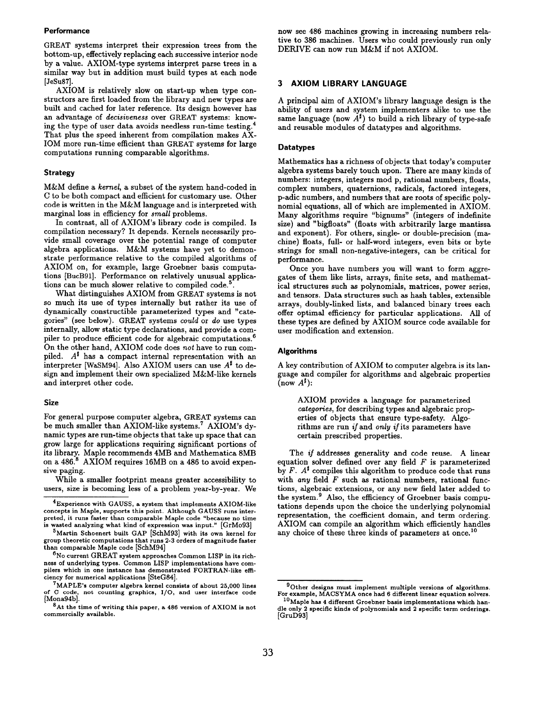## **Performance**

GREAT systems interpret their expression trees from the bottom-up, effectively replacing each successive interior node by a value. AXIOM-type systems interpret parse trees in a similar way but in addition must build types at each node [JeSu87].

AXIOM is relatively slow on start-up when type constructors are first loaded from the library and new types are built and cached for later reference. Its design however has an advantage of decisiveness over GREAT systems: knowing the type of user data avoids needless run-time testing.4 That plus the speed inherent from compilation makes AX-IOM more run-time efficient than GREAT systems for large computations running comparable algorithms.

#### Strategy

M&M define a kernel, a subset of the system hand-coded in C to be both compact and efficient for customary use. Other code is written in the M&M language and is interpreted with marginal loss in efficiency for small problems.

In contrast, all of AXIOM's library code is compiled. Is compilation necessary? It depends. Kernels necessarily provide small coverage over the potential range of computer algebra applications. M&M systems have yet to demonstrate performance relative to the compiled algorithms of AXIOM on, for example, large Groebner basis computations [BucB91]. Performance on relatively unusual applications can be much slower relative to compiled code.<sup>5</sup>

What distinguishes AXIOM from GREAT systems is not so much its use of types internally but rather its use of dynamically constructible parameterized types and " categories" (see below), GREAT systems could or do use types internally, allow static type declarations, and provide a compiler to produce efficient code for algebraic computations.<sup>6</sup> On the other hand, AXIOM code does not have to run compiled.  $A^{\sharp}$  has a compact internal representation with an interpreter [WaSM94]. Also AXIOM users can use  $A^{\sharp}$  to design and implement their own specialized M&M-like kernels and interpret other code.

# Size

For general purpose computer algebra, GREAT systems can be much smaller than AXIOM-like systems.<sup>7</sup> AXIOM's dynamic types are run-time objects that take up space that can grow large for applications requiring significant portions of its library. Maple recommends 4MB and Mathematica 8MB on a 486.<sup>8</sup> AXIOM requires 16MB on a 486 to avoid expensive paging.

While a smaller footprint means greater accessibility to users, size is becoming less of a problem year-by-year. We now see 486 machines growing in increasing numbers relative to 386 machines, Users who could previously run only DERIVE can now run M&M if not AXIOM.

# 3 AXIOM LIBRARY LANGUAGE

A principal aim of AXIOM's library language design is the ability of users and system implementers alike to use the same language (now  $A^{\sharp}$ ) to build a rich library of type-safe and reusable modules of datatypes and algorithms.

#### **Datatypes**

Mathematics has a richness of objects that today's computer algebra systems barely touch upon. There are many kinds of numbers: integers, integers mod p, rational numbers, floats, complex numbers, quaternions, radicals, factored integers, p-adic numbers, and numbers that are roots of specific polynomial equations, all of which are implemented in AXIOM. Many algorithms require "bignums" (integers of indefinite size) and "bigfloats" (floats with arbitrarily large mantissa and exponent). For others, single- or double-precision (machine) floats, full- or half-word integers, even bits or byte strings for small non-negative-integers, can be critical for performance.

Once you have numbers you will want to form aggregates of them like lists, arrays, finite sets, and mathematical structures such as polynomials, matrices, power series, and tensors. Data structures such as hash tables, extensible arrays, doubly-linked lists, and balanced binary trees each offer optimal efficiency for particular applications, All of these types are defined by AXIOM source code available for user modification and extension.

# Algorithms

A key contribution of AXIOM to computer algebra is its language and compiler for algorithms and algebraic properties  $(\text{now } A^{\sharp})$ :

AXIOM provides a language for parameterized categories, for describing types and algebraic properties of objects that ensure type-safety. Algorithms are run *if* and *only if* its parameters have certain prescribed properties.

The if addresses generality and code reuse. A linear equation solver defined over any field  $F$  is parameterized by  $F.$   $A^{\sharp}$  compiles this algorithm to produce code that runs with any field  $F$  such as rational numbers, rational functions, algebraic extensions, or any new field later added to the system.<sup>9</sup> Also, the efficiency of Groebner basis computations depends upon the choice the underlying polynomial representation, the coefficient domain, and term ordering. AXIOM can compile an algorithm which efficiently handles any choice of these three kinds of parameters at once.<sup>10</sup>

 $^4$ Experience with GAUSS, a system that implements AXIOM-like concepts in Maple, supports this point. Although GAUSS runs interpreted, it runs faster than comparable Maple code "because no time wasted analyzing what kind of expression was input." [GrMo93]

 $5$ Martin Schoenert built GAP [SchM93] with its own kernel for group theoretic computations that runs 2-3 orders of magnitude faster than comparable Maple code [SchM94]

 $6$ No current GREAT system approaches Common LISP in its richness of underlying types. Common LISP implementations have compilers which in one instance has demonstrated FORTRAN-like efficiency for numerical applications [SteG84].

 $7$ MAPLE's computer algebra kernel consists of about 25,000 lines of C code, not counting graphics, 1/0, and user interface code [Mona94b].

At the time of writing this paper, a 486 version of AXIOM is not commercially available.

 $9$ Other designs must implement multiple versions of algorithms. For example, MACSYMA once had 6 different linear equation solvers.

<sup>10</sup> Maple has 4 different Groebner basis implementations which handle only 2 specific kinds of polynomials and 2 specific term orderings. [GruD93]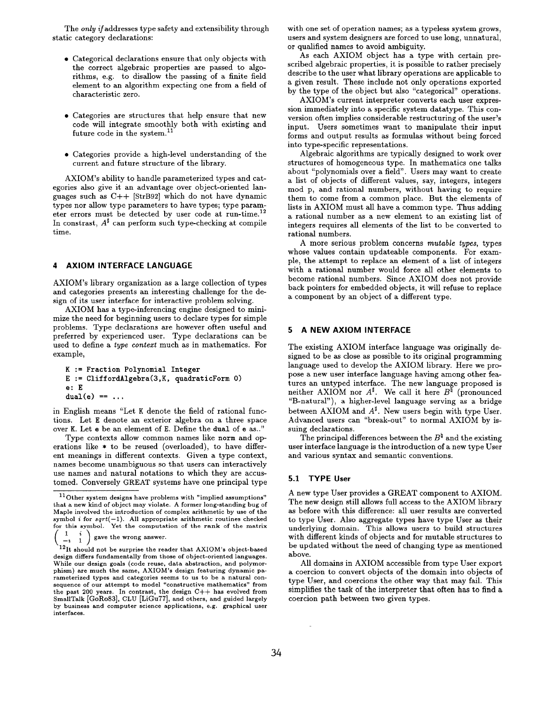The only if addresses type safety and extensibility through static category declarations:

- $\bullet$  Categorical declarations ensure that only objects wit the correct algebraic properties are passed to algorithms, e.g. to disallow the passing of a finite field element to an algorithm expecting one from a field of characteristic zero.
- Categories are structures that help ensure that new code will integrate smoothly both with existing and future code in the system.<sup>11</sup>
- $\bullet$  Categories provide a high-level understanding of the current and future structure of the library.

AXIOM's ability to handle parameterized types and categories also give it an advantage over object-oriented languages such as C++ [StrB92] which do not have dynamic types nor allow type parameters to have types; type parameter errors must be detected by user code at run-time. 12 In constrast,  $A^{\sharp}$  can perform such type-checking at compile time.

# 4 AXIOM INTERFACE LANGUAGE

AXIOM's library organization as a large collection of types and categories presents an interesting challenge for the design of its user interface for interactive problem solving.

AXIOM has a type-in ferencing engine designed to minimize the need for beginning users to declare types for simple problems. Type declarations are however often useful and preferred by experienced user. Type declarations can be used to define a type contezt much as in mathematics. For example,

```
K := Fraction Polynomial Integer
E := \text{CliffordAlgebra}(3,K, \text{ quadraticForm } 0)e: E
dual(e) == ...
```
in English means "Let K denote the field of rational functions. Let E denote an exterior algebra on a three space over K. Let e be an element of E. Define the dual of e as.. "

Type contexts allow common names like norm and operations like \* to be reused (overloaded), to have different meanings in different contexts. Given a type context, names become unambiguous so that users can interactively use names and natural notations to which they are accustomed. Conversely GREAT systems have one principal type with one set of operation names; as a typeless system grows, users and system designers are forced to use long, unnatural, or qualified names to avoid ambiguity.

As each AXIOM object has a type with certain prescribed algebraic properties, it is possible to rather precisely describe to the user what library operations are applicable to a given result. These include not only operations exported by the type of the object but also "categorical" operations.

AXIOM's current interpreter converts each user expression immediately into a specific system datatype. This conversion often implies considerable restructuring of the user's input. Users sometimes want to manipulate their input forms and output results as formulas without being forced into type-specific representations.

Algebraic algorithms are typically designed to work over structures of homogeneous type. In mathematics one talks about "polynomials over a field". Users may want to create a list of objects of different values, say, integers, integers mod p, and rational numbers, without having to require them to come from a common place. But the elements of lists in AXIOM must all have a common type. Thus adding a rational number as a new element to an existing list of integers requires all elements of the list to be converted to rational numbers.

A more serious problem concerns mutable types, types whose values contain updateable components. For example, the attempt to replace an element of a list of integers with a rational number would force all other elements to become rational numbers. Since AXIOM does not provide back pointers for embedded objects, it will refuse to replace a component by an object of a different type,

# 5 A NEW AXIOM INTERFACE

The existing AXIOM interface language was originally designed to be as close as possible to its original programming language used to develop the AXIOM library. Here we propose a new user interface language having among other features an untyped interface. The new language proposed is neither AXIOM nor  $A^{\sharp}$ . We call it here  $B^{\sharp}$  (pronounced "B-natural"), a higher-level language serving as a bridge between AXIOM and  $A^{\sharp}$ . New users begin with type User. Advanced users can "break-out" to normal AXIOM by issuing declarations.

The principal differences between the  $B^{\natural}$  and the existing user interface language is the introduction of a new type User and various syntax and semantic conventions.

# 5.1 TYPE User

A new type User provides a GREAT component to AXIOM. The new design still allows full access to the AXIOM library as before with this difference: all user results are converted to type User. Also aggregate types have type User as their underlying domain. This allows users to build structures with different kinds of objects and for mutable structures to be updated without the need of changing type as mentioned above.

All domains in AXIOM accessible from type User export a coercion to convert objects of the domain into objects of type User, and coercions the other way that may fail. This simplifies the task of the interpreter that often has to find a coercion path between two given types.

 $11$  Other system designs have problems with "implied assumptions" that a new kind of object may violate. A former long-standing bug of Maple involved the introduction of complex arithmetic by use of the symbol *i* for sqrt(—1). All appropriate arithmetic routines check<br>for this symbol. Yet the computation of the **rank** of the matr  $\begin{pmatrix} 1 & i \\ -i & 1 \end{pmatrix}$  gave the wrong answer.

 $\binom{12}{12}$  it should not be surprise the reader that AXIOM's object-based design differs fundamentally from those of object-oriented languages. While our design goals (code reuse, data abstraction, and polymorphism) are much the same, AXIOM's design featuring dynamic parameterized types and categories seems to us to be a natural cor<br>sequence of our attempt to model "constructive mathematics" from the past 200 yearg. In contrast, the design C++ has evolved from SmallTalk [GoR083], CLU [LiGu77], and others, and guided largely by business and computer science applications, e.g. graphical user interfaces.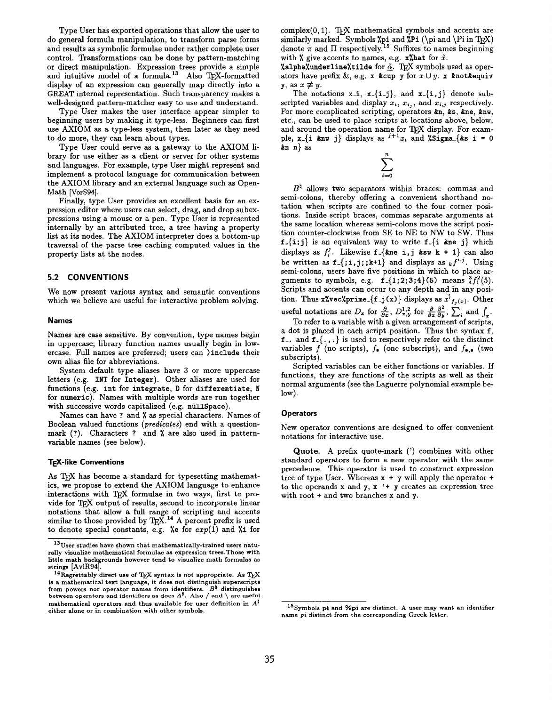Type User has exported operations that allow the user to do general formula manipulation, to transform parse forms and results as symbolic formulae under rather complete user control. Transformations can be done by pattern-matching or direct manipulation. Expression trees provide a simple and intuitive model of a formula.<sup>13</sup> Also  $T_F X$ -formatted display of an expression can generally map directly into a GREAT internal representation. Such transparency makes a well-designed pattern-matcher easy to use and understand.

Type User makes the user interface appear simpler to beginning users by making it type-less. Beginners can first use AXIOM as a type-less system, then later as they need to do more, they can learn about types.

Type User could serve as a gateway to the AXIOM library for use either as a client or server for other systems and languages. For example, type User might represent and implement a protocol language for communication between the AXIOM library and an external language such as Open-Math [VorS94].

Finally, type User provides an excellent basis for an expression editor where users can select, drag, and drop subexpressions using a mouse or a pen. Type User is represented internally by an attributed tree, a tree having a property list at its nodes. The AXIOM interpreter does a bottom-up traversal of the parse tree caching computed values in the property lists at the nodes.

# 5.2 CONVENTIONS

We now present various syntax and semantic conventions which we believe are useful for interactive problem solving.

#### Names

Names are case sensitive. By convention, type names begin in uppercase; library function names usually begin in lowercase. Full names are preferred; users can ) include their own alias file for abbreviations.

System default type aliases have 3 or more uppercase letters (e.g. INT for Integer). Other aliases are used for functions (e.g. int for integrate, D for differentiate, N for numeric). Names with multiple words are run together with successive words capitalized (e.g. nullSpace).

Names can have ? and X as special characters. Names of Boolean valued functions (predicates) end with a questionmark (?). Characters ? and % are also used in patternvariable names (see below).

# **TEX-like Conventions**

As TEX has become a standard for typesetting mathematics, we propose to extend the AXIOM language to enhance interactions with TEX formulae in two ways, first to provide for TEX output of results, second to incorporate linear notations that allow a full range of scripting and accents similar to those provided by  $T_{F}X$ .<sup>14</sup> A percent prefix is used to denote special constants, e.g. %e for  $exp(1)$  and %i for  $complex(0, 1)$ . TFX mathematical symbols and accents are similarly marked. Symbols %pi and  $Pi (\pi and \Pi_F X)$ denote  $\pi$  and  $\Pi$  respectively.<sup>15</sup> Suffixes to names beginning with % give accents to names, e.g.  $x$ % hat for  $\hat{x}$ .

%alpha%underline%tilde for  $\tilde{\alpha}$ . TpX symbols used as operators have prefix &, e.g. x &cup y for  $x \cup y$ . x &not &equiv y, as  $x \not\equiv y$ .

The notations  $x_i$ ,  $x_{i+1}$ ,  $x_{i+1}$ , and  $x_{i+1}$ , denote subscripted variables and display  $x_i$ ,  $x_{i,j}$ , and  $x_{i,j}$  respectively. For more complicated scripting, operators  $kn$ ,  $ks$ ,  $kn$ e,  $knw$ , etc., can be used to place scripts at locations above, below, and around the operation name for  $T_F X$  display. For example,  $x - \{i \text{ km } j\}$  displays as  $j+1$ <sub>x</sub>, and  $\gamma$ Sigma-{&s i = 0  $kn \, n$  as

$$
\sum_{i=0}^n
$$

 $B^{\natural}$  allows two separators within braces: commas and semi-colons, thereby offering a convenient shorthand notation when scripts are confined to the four corner positions. Inside script braces, commas separate arguments at the same location whereas semi-colons move the script position counter-clockwise from SE to NE to NW to SW. Thus  $f_{-}\{i,j\}$  is an equivalent way to write  $f_{-}\{i\}$  and  $j\}$  which displays as  $f_i^j$ . Likewise f. {*kne* i, j *ksw* k + 1} can also be written as  $f_{\text{-}}{j; j; k+1}$  and displays as  $_{k} f^{i,j}$ . Using semi-colons, users have five positions in which to place arguments to symbols, e.g.  $f_{-1}$ {1;2;3;4}(5) means  $^{3}_{4}f_{1}^{2}$ (5). Scripts and accents can occur to any depth and in any position. Thus x%vec%prime.  $\{f_{-j}(x)\}\$ displays as  $\vec{x'}_{f_j(x)}$ . Other useful notations are  $D_x$  for  $\frac{\omega}{\partial x}$ ,  $D_{x,y}^{1,2}$  for  $\frac{\omega}{\partial x}$ ,  $\frac{\omega}{\partial y}$ ,  $\frac{\omega}{\partial y}$ , and

To refer to a variable with a given arrangement of scripts. a dot is placed in each script position. Thus the syntax f, f... and  $f$ <sub>-</sub>{ $\ldots$ } is used to respectively refer to the distinct variables  $f$  (no scripts),  $f_{\bullet}$  (one subscript), and  $f_{\bullet,\bullet}$  (two subscripts).

Scripted variables can be either functions or variables. If functions, they are functions of the scripts as well as their normal arguments (see the Laguerre polynomial example below).

### **Operators**

New operator conventions are designed to offer convenient notations for interactive use.

Quote. A prefix quote-mark (') combines with other standard operators to form a new operator with the same precedence. This operator is used to construct expression tree of type User. Whereas  $x + y$  will apply the operator + to the operands  $x$  and  $y$ ,  $x'$  +  $y$  creates an expression tree with root + and two branches x and y.

 $^{13}$  User studies have shown that mathematically-trained users naturally visualize mathematical formulae as expression trees. Those with little math backgrounds however tend to visualize math formulas as strings [AviR94].

 $^{14}$  Regrettably direct use of TFX syntax is not appropriate. As TFX is a mathematical text language, it does not distinguish superscripts from powers nor operator names from identifiers.  $B^{\natural}$  distinguishes between operators and identifiers as does  $A^{\sharp}$ . Also / and \ are useful mathematical operators and thus available for user definition in  $A^{\sharp}$ either alone or in combination with other symbols.

 $15$  Symbols pi and %pi are distinct. A user may want an identifier name pi distinct from the corresponding Greek letter.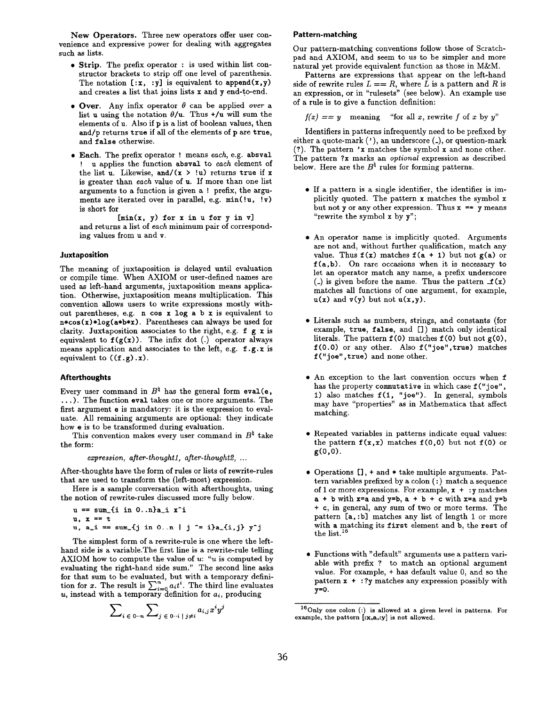New Operators. Three new operators offer user convenience and expressive power for dealing with aggregates such aa lists.

- Strip. The prefix operator : is used within list constructor brackets to strip off one level of parenthesis. The notation  $[:, x, y]$  is equivalent to append $(x, y)$ and creates a list that joins lists x and y end-to-end.
- $\bullet$  Over. Any infix operator  $\theta$  can be applied over a list u using the notation  $\theta/\mu$ . Thus  $+\prime$ u will sum the elements of u. Also if pis a list of boolean values, then and/p returns true if all of the elements of p are true, and false otherwise.
- $\bullet$  Each. The prefix operator ! means each, e.g. absva u applies the function absval to each element of the list u. Likewise, and/ $(x > !u)$  returns true if x is greater than each value of u. If more than one list arguments to a function is given a ! prefix, the arguments are iterated over in parallel, e.g.  $min(!u, !v)$ is short for

 $[\min(x, y)$  for x in u for y in v] and returns a list of each minimum pair of corresponding values from u and v.

#### Juxtaposition

The meaning of juxtaposition is delayed until evaluation or compile time. When AXIOM or user-defined names are used as left-hand arguments, juxtaposition means application. Otherwise, juxtaposition means multiplication. This convention allows users to write expressions mostly without parentheses, e.g. n cos x log a b x is equivalent to  $n*cos(x)*log(a*b*x)$ . Parentheses can always be used for clarity. Juxtaposition associates to the right, e.g.  $f g x$  is equivalent to  $f(g(x))$ . The infix dot (.) operator always means application and associates to the left, e.g. f. g. x is equivalent to  $((f.g).x)$ .

#### Afterthoughts

Every user command in  $B^{\natural}$  has the general form eval(e, . . . ). The function eval takes one or more arguments. The first argument e is mandatory: it is the expression to evaluate. All remaining arguments are optional: they indicate how e is to be transformed during evaluation.

This convention makes every user command in  $B^{\natural}$  take the form:

expression, after-thought1, after-thought2, ...

After-thoughts have the form of rules or lists of rewrite-rules that are used to transform the (left-most) expression.

Here is a sample conversation with afterthoughts, using the notion of rewrite-rules discussed more fully below.

 $u == sum_{i} in 0..n)a_{i} x^{i}$  $u, x = t$ u, a\_i == sum\_{j in 0. .n | j ^= i}a\_{i, j} y^j

The simplest form of a rewrite-rule is one where the lefthand side is a variable. The first line is a rewrite-rule telling AXIOM how to compute the value of  $u$ : " $u$  is computed by evaluating the right-hand side sum." The second line asks for that sum to be evaluated, but with a temporary definition for x. The result is  $\sum_{i=0}^{\infty} a_i t^i$ . The third line evaluate u, instead with a temporary definition for  $a_i$ , produci

$$
\sum\nolimits_{i\; \in \; 0\cdots n} \sum\nolimits_{j\; \in \; 0\cdots i \; | \; j\neq i} a_{i,j}x^i y
$$

#### Pattern-matching

Our pattern-matching conventions follow those of Scratchpad and AXIOM, and seem to us to be simpler and more natural yet provide equivalent function as those in M&M.

Patterns are expressions that appear on the left-hand side of rewrite rules  $L == R$ , where L is a pattern and R is an expression, or in "rulesets" (see below). An example use of a rule is to give a function definition:

 $f(x) == y$  meaning "for all x, rewrite f of x by y"

Identifiers in patterns infrequently need to be prefixed by either a quote-mark  $(')$ , an underscore  $($ ), or question-mark (?). The pattern 'x matches the symbol  $x$  and none other. The pattern ?x marks an *optional* expression as described below. Here are the  $B^{\natural}$  rules for forming patterns.

- If a pattern is a single identifier, the identifier is implicitly quoted. The pattern x matches the symbol x but not y or any other expression. Thus  $x = y$  means "rewrite the symbol x by y";
- $\bullet$  An operator name is implicitly quoted. Arguments are not and, without further qualification, match any value. Thus  $f(x)$  matches  $f(a + 1)$  but not  $g(a)$  or  $f(a, b)$ . On rare occasions when it is necessary to let an operator match any name, a prefix underscore (.) is given before the name. Thus the pattern  $f(x)$ matches all functions of one argument, for example,  $u(x)$  and  $v(y)$  but not  $u(x,y)$ .
- Literals such as numbers, strings, and constants (fo example, true, false, and []) match only identical literals. The pattern  $f(0)$  matches  $f(0)$  but not  $g(0)$ , f (O. O) or any other. Also f (" joe", true) matches  $f("joe", true)$  and none other.
- An exception to the last convention occurs when f has the property commutative in which case  $f("joe",$ 1) also matches  $f(1, "joe").$  In general, symbols may have "properties" as in Mathematica that affect matching.
- Repeated variables in patterns indicate equal values the pattern  $f(x, x)$  matches  $f(0, 0)$  but not  $f(0)$  or  $g(0,0)$ .
- Operations [1, + and \* take multiple arguments. Pattern variables prefixed by a colon (:) match a sequence of 1 or more expressions. For example,  $x + y$  matches  $a + b$  with  $x=a$  and  $y=b$ ,  $a + b + c$  with  $x=a$  and  $y=b$ + c, in general, any sum of two or more terms. The pattern [a, :b] matches any list of length 1 or more with a matching its first element and b, the rest of the list. $16$
- Functions with "default" arguments use a pattern vari able with prefix ? to match an optional argument value. For example, + has default value O, and so the pattern x + : ?y matches any expression possibly with  $y=0$ .

 $16$  Only one colon (:) is allowed at a given level in patterns. For example, the pattern [:x,a,:y] is not allowed.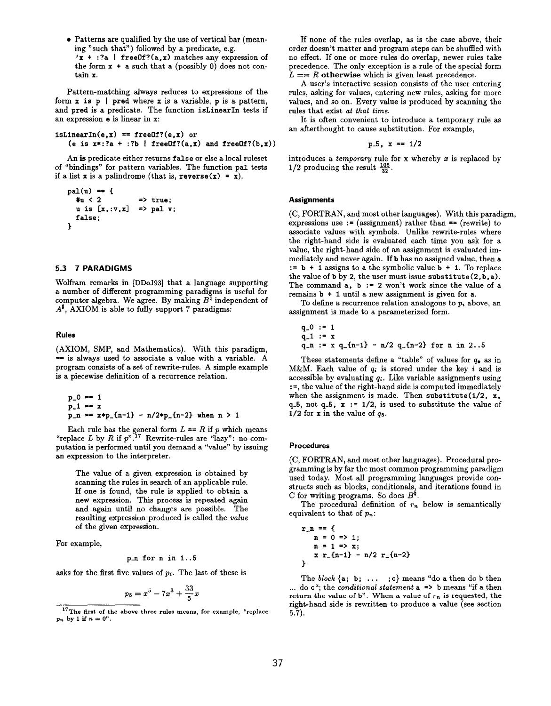● Patterns are qualified by the use of vertical bar (meaning "such that") followed by a predicate, e.g.  $'x$  + :?a | freeOf?(a, x) matches any expression of the form  $x + a$  such that a (possibly 0) does not contain x.

Pattern-matching always reduces to expressions of the form  $x$  is  $p \mid$  pred where  $x$  is a variable,  $p$  is a pattern, and pred is a predicate. The function isLinearIn tests if an expression e is linear in x:

```
isLinearIn(e, x) == freeOf?(e, x) or
   (e is x*:?a + :?b | freeOf?(a,x) and freeOf?(b,x))
```
An is predicate either returns false or else a local ruleset of "bindings" for pattern variables. The function pal tests if a list x is a palindrome (that is,  $reverse(x) = x$ ).

```
pal(u) = f#u < 2 \Rightarrow true;
  u is [x,:v,x] \Rightarrow pal v;
  false;
3
```
# 5.3 7PARADIGMS

Wolfram remarks in [DDOJ93] that a language supporting a number of different programming paradigms is useful for computer algebra. We agree. By making  $B^\natural$  independent of  $A^{\sharp}$ , AXIOM is able to fully support 7 paradigms:

#### Rules

(AXIOM, SMP, and Mathematica). With this paradigm,  $=$  is always used to associate a value with a variable. A program consists of a set of rewrite-rules. A simple example is a piecewise definition of a recurrence relation.

$$
p_0 = 1
$$
  
\n
$$
p_1 = x
$$
  
\n
$$
p_n = x * p_{n-1} - n/2 * p_{n-2} \text{ when } n > 1
$$

Each rule has the general form  $L = K$  if p which mean "replace L by R if  $p$ ".<sup>11</sup> Rewrite-rules are "lazy": no computation is performed until you demand a "value" by issuing an expression to the interpreter.

The value of a given expression is obtained by scanning the rules in search of an applicable rule. If one is found, the rule is applied to obtain a new expression. This process is repeated again and again until no changes are possible. The resulting expression produced is called the value of the given expression.

For example,

# pn for n in 1..5

asks for the first five values of  $p_i$ . The last of these is

$$
p_5 = x^5 - 7x^3 + \frac{33}{5}x
$$

If none of the rules overlap, as is the case above, their order doesn't matter and program steps can be shuffled with no effect. If one or more rules do overlap, newer rules take precedence. The only exception is a rule of the special form  $L = R$  otherwise which is given least precedence.

A user's interactive session consists of the user entering rules, asking for values, entering new rules, asking for more values, and so on. Every value is produced by scanning the rules that exist at that time.

It is often convenient to introduce a temporary rule as an afterthought to cause substitution. For example,

$$
p-5
$$
,  $x == 1/2$ 

introduces a *temporary* rule for x whereby  $x$  is replaced by  $1/2$  producing the result  $\frac{105}{22}$ .

# **Assignments**

(C, FORTRAN, and most other languages). With this paradigm, expressions use := (assignment) rather than  $=$  (rewrite) to associate values with symbols. Unlike rewrite-rules where the right-hand side is evaluated each time you aak for a value, the right-hand side of an assignment is evaluated immediately and never again. If b has no assigned value, then a  $:= b + 1$  assigns to a the symbolic value  $b + 1$ . To replace the value of b by 2, the user must issue substitute  $(2, b, a)$ . The command  $a, b := 2$  won't work since the value of a remains b + 1 until a new assignment is given for a.

To define a recurrence relation analogous to  $p_i$ , above, an assignment is made to a parameterized form.

```
q = 0 := 1
q-1 := r
```

$$
q_1 := x
$$
  
 
$$
q_n := x q_{-n-1} - n/2 q_{-n-2} for n in 2..5
$$

These statements define a "table" of values for  $q_{\bullet}$  as in M&M. Each value of  $q_i$  is stored under the key i and is accessible by evaluating  $q_i$ . Like variable assignments using :=, the value of the right-hand side is computed immediately when the assignment is made. Then substitute  $(1/2, x,$ q.5, not q.5,  $x := 1/2$ , is used to substitute the value of 1/2 for x in the value of  $q_5$ .

#### Procedures

(C, FORTRAN, and most other languages). Procedural programming is by far the most common programming paradigm used today. Most all programming languages provide constructs such as blocks, conditionals, and iterations found in C for writing programs. So does  $B^{\natural}$ .

The procedural definition of  $r_n$  below is semantically equivalent to that of  $p_n$ :

$$
r_{-}n = f
$$
  
\nn = 0 => 1;  
\nn = 1 => x;  
\nx r\_{-}n-1} - n/2 r\_{-}n-2}  
\n}

The block  $\{a; b; \ldots; c\}$  means "do a then do b then ... do  $c$ "; the *conditional statement*  $a \Rightarrow b$  means "if a then return the value of b". When a value of  $r_n$  is requested, the right-hand side is rewritten to produce a value (see section 5.7).

 $17$ <sup>T</sup>The first of the above three rules means, for example, "replace  $p_n$  by 1 if  $n=0$ ".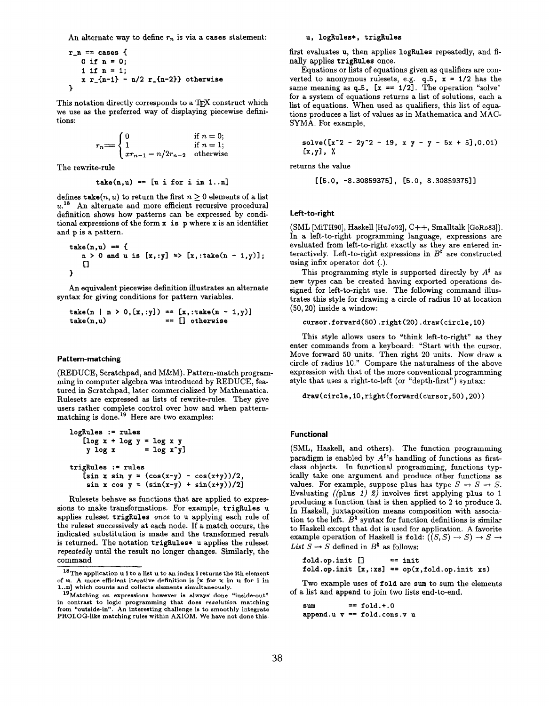An alternate way to define  $r_n$  is via a cases statement:

r-n == cases { Oifn=O; lifn=l; x r.{n-11 - n/2 r-{n-2}} otherwise }

This notation directly corresponds to a TFX construct which we use as the preferred way of displaying piecewise definitions:

$$
r_n = \begin{cases} 0 & \text{if } n = 0; \\ 1 & \text{if } n = 1; \\ xr_{n-1} - n/2r_{n-2} & \text{otherwise} \end{cases}
$$

The rewrite-rule

$$
take(n,u) == [u if or i in 1...n]
$$

defines take  $(n, u)$  to return the first  $n \geq 0$  elements of a list  $u<sup>18</sup>$  An alternate and more efficient recursive procedural definition shows how patterns can be expressed by conditional expressions of the form  $x$  is  $p$  where  $x$  is an identifier and p is a pattern.

$$
\begin{array}{l}\n\texttt{take}(n,u) == \{ \\
 n > 0 \text{ and } u \text{ is } [x, :y] \Rightarrow [x, : \texttt{take}(n-1,y)], \\
 \text{[]}\n\end{array}
$$

An equivalent piecewise definition illustrates an alternate syntax for giving conditions for pattern variables,

```
take(n | n > 0, [x, :y]) == [x, :take(n - 1, y)]take(n,u) == [] otherwise
```
#### Pattern-matching

(REDUCE, Scratchpad, and M&M). Pattern-match programming in computer algebra wae introduced by REDUCE, featured in Scratchpad, later commercialized by Mathematica. Rulesets are expressed as lists of rewrite-rules. They give users rather complete control over how and when patternmatching is done.<sup>19</sup> Here are two examples:

```
logRules := rules
   [logx+logy=logxy
    y \log x = \log x<sup>7</sup>
trigRules := rules
   [sin x sin y = (cos(x-y) - cos(x+y))/2,
    sin x cos y = (sin(x-y) + sin(x+y))/2
```
Rulesets behave as functions that are applied to expressions to make transformations. For example, trigRules u applies ruleset trigRules once to u applying each rule of the ruleset successively at each node. If a match occurs, the indicated substitution is made and the transformed result is returned. The notation trigRules\* uapplies the ruleset repeatedly until the result no longer changes. Similarly, the command

#### u, logRules\*, trigRules

first evaluates u, then applies logRules repeatedly, and finally applies trigRules once.

Equations or lists of equations given as qualifiers are converted to anonymous rulesets, e.g.  $q=5$ ,  $x = 1/2$  has the same meaning as  $q=5$ ,  $x == 1/2$ . The operation "solve" for a system of equations returns a list of solutions, each a list of equations. When used as qualifiers, this list of equations produces a list of values as in Mathematica and MAC-SYMA. For example,

solve([x-2 - 2y"2 - 19, x y - y - 5x + 51,0.01) [X,yl, x

returns the value

 $[[5.0, -8.30859375], [5.0, 8.30859375]]$ 

# Left-to-right

(SML [MiTH90], Haskell [HuJ092], C++, Smalltalk [GoR083]). In a left-to-right programming language, expressions are evaluated from left-to-right exactly as they are entered interactively. Left-to-right expressions in  $B^{\sharp}$  are constructed using infix operator dot (.).

This programming style is supported directly by  $A^{\sharp}$  as new types can be created having exported operations designed for left-to-right use. The following command illustrates this style for drawing a circle of radius 10 at location (50, 20) inside a window:

```
cursor.forward(50).right(20).draw(circle, 10)
```
This style allows users to "think left-to-right" as they enter commands from a keyboard: "Start with the cursor. Move forward 50 units. Then right 20 units. Now draw a circle of radius 10." Compare the naturalness of the above expression with that of the more conventional programming style that uses a right-to-left (or "depth-first") syntax:

```
draw(circle,10,right(forward(cursor,50) ,20))
```
# Functional

(SML, HaskelI, and others). The function programming paradigm is enabled by  $A^{\sharp}$ 's handling of functions as firstclass objects. In functional programming, functions typically take one argument and produce other functions as values. For example, suppose plus has type  $S \to S \to S$ . Evaluating ((plus 1) 2) involves first applying plus to 1 producing afunction that is then applied to2 to produce 3. In Haskell, juxtaposition means composition with association to the left.  $B^{\natural}$  syntax for function definitions is similar to Haskell except that dot is used for application. A favorite example operation of Haskell is fold:  $((S, S) \rightarrow S) \rightarrow S \rightarrow$ List  $S \to S$  defined in  $B^{\natural}$  as follows:

 $fold.$ op.init  $[]$  == init fold.op.init  $[x, :xs] = op(x, fold, op.init xs)$ 

Two example uses of fold are sum to sum the elements of a list and append to join two lists end-to-end.

sum  $=$   $\text{fold.} + .0$ append.u  $v = f$ old.cons.v u

 $^{18}{\rm The}$  application  ${\bf u}$  i to a list  ${\bf u}$  to an index i returns the ith element of u. A more efficient iterative definition is  $[x$  for x in u for i in 1. .n] which counts and collects elements simultaneously.

<sup>19</sup> Matching on expressions however is always' done "inside-out" in contrast to logic programming that does resolution matching from "outside-in". An interesting challenge is to smoothly integrate PROLOG-like matching rules within AXIOM. We have not done this.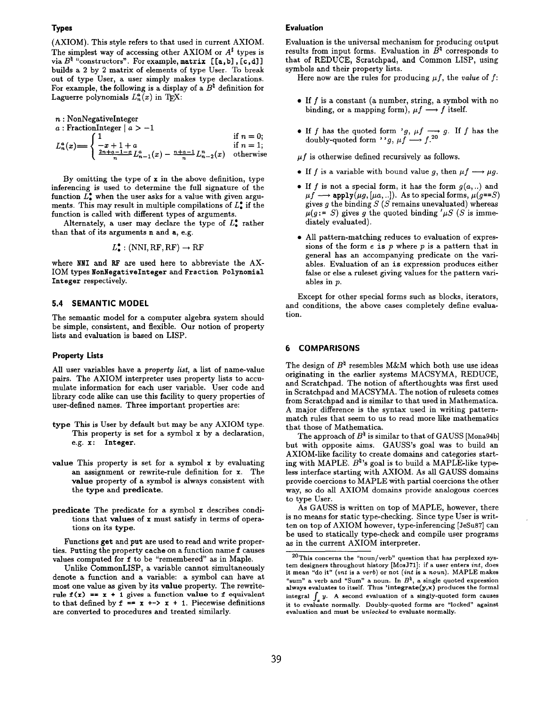(AXIOM). This style refers to that used in current AXIOM. The simplest way of accessing other AXIOM or  $A^{\sharp}$  types is via  $B^{\natural}$  "constructors". For example, matrix  $[[a, b], [c, d]]$ builds a 2 by 2 matrix of elements of type User. To break out of type User, a user simply makes type declarations. For example, the following is a display of a  $B^{\natural}$  definition for Laguerre polynomials  $L_n^{\alpha}(x)$  in T<sub>F</sub>X:

n : NonNegativeInteger

a : FractionInteger  $|a>-1|$ 

$$
L_n^a(x) = \begin{cases} 1 & \text{if } n = 0; \\ \frac{-x+1+a}{n} L_{n-1}^a(x) - \frac{n+a-1}{n} L_{n-2}^n(x) & \text{otherwise} \end{cases}
$$

By omitting the type of  $x$  in the above definition, type inferencing is used to determine the full signature of the function  $\check{L}_{\bullet}^{\bullet}$  when the user asks for a value with given arguments. This may result in multiple compilations of  $L^{\bullet}$  if the function is called with different types of arguments.

Alternately, a user may declare the type of  $L_{\bullet}^{\bullet}$  rather than that of its arguments n and a, e.g.

$$
L^{\bullet}_{\bullet} : (\text{NNI}, \text{RF}, \text{RF}) \to \text{RF}
$$

where NNI and RF are used here to abbreviate the AX-IOM types NonNegativeInteger and Fraction Polynomial Integer respectively.

# 5.4 SEMANTIC MODEL

The semantic model for a computer algebra system should be simple, consistent, and flexible. Our notion of property lists and evaluation is based on LISP.

#### Property Lists

All user variables have a property list, a list of name-value pairs. The AXIOM interpreter uses property lists to accumulate information for each user variable. User code and library code alike can use this facility to query properties of user-defined names. Three important properties are:

- type This is User by default but may be any AXIOM type. This property is set for a symbol x by a declaration, e.g. x: Integer.
- value This property is set for a symbol x by evaluating an assignment or rewrite-rule definition for x. The value property of a symbol is always consistent with the type and predicate.
- predicate The predicate for a symbol x describes conditions that values of x must satisfy in terms of operations on its type.

Functions get and put are used to read and write properties. Putting the property cache on a function name f causes values computed for f to be 'remembered" as in Maple.

Unlike CommonLISP, a variable cannot simultaneously denote a function and a variable: a symbol can have at most one value as given by its value property. The rewriterule  $f(x) = x + 1$  gives a function value to f equivalent to that defined by  $f = x \leftrightarrow x + 1$ . Piecewise definitions are converted to procedures and treated similarly.

# Evaluation

Evaluation is the universal mechanism for producing output results from input forms. Evaluation in  $\hat{B}^{\natural}$  corresponds to that of REDUCE, Scratchpad, and Common LISP, using symbols and their property lists.

Here now are the rules for producing  $\mu f$ , the value of f:

- $\bullet$  If f is a constant (a number, string, a symbol with no binding, or a mapping form),  $\mu f \rightarrow f$  itself.
- If f has the quoted form 'g,  $\mu f \rightarrow g$ . If f has the doubly-quoted form ''g,  $\mu f \longrightarrow f$ .

 $\mu f$  is otherwise defined recursively as follows.

- If f is a variable with bound value g, then  $\mu f \longrightarrow \mu g$ .
- If f is not a special form, it has the form  $g(a, . .)$  and  $\mu f \longrightarrow \text{apply}(\mu g, [\mu a, . .])$ . As to special forms,  $\mu(g=S)$ gives  $g$  the binding  $S$  ( $S$  remains unevaluated) whereas  $\mu(g \coloneqq S)$  gives g the quoted binding ' $\mu S$  (S is immediately evaluated).
- All pattern-matching reduces to evaluation of expressions of the form  $e$  is  $p$  where  $p$  is a pattern that in general has an accompanying predicate on the variables. Evaluation of an is expression produces either false or else a ruleset giving values for the pattern variables in p.

Except for other special forms such as blocks, iterators, and conditions, the above cases completely define evaluation.

# 6 COMPARISONS

The design of  $B^*$  resembles M&M which both use use idea originating in the earlier systems MACSYMA, REDUC and Scratchpad. The notion of afterthoughts was first used in Scratchpad and MACSYMA. The notion of rulesets comes from Scratchpad and is similar to that used in Mathematica. A major difference is the syntax used in writing patternmatch rules that seem to us to read more like mathematics that those of Mathematica.

The approach of  $B^{\natural}$  is similar to that of GAUSS [Mona94b] but with opposite aims. GAUSS's goal was to build an AXIOM-like facility to create domains and categories starting with MAPLE.  $B^{\natural}$ 's goal is to build a MAPLE-like typeless interface starting with AXIOM. As all GAUSS domains provide coercions to MAPLE with partial coercions the other way, so do all AXIOM domains provide analogous coerces to type User.

As GAUSS is written on top of MAPLE, however, there is no means for static type-checking. Since type User is written on top of AXIOM however, type-inferencing [JeSu87] can be used to statically type-check and compile user programs as in the current AXIOM interpreter.

 $20$ This concerns the "noun/verb" question that has perplexed system designers throughout history [MOSJ71]: if a user enters int, does it mean "do it" (int is a verb) or not (int is a noun). MAPLE makes "sum" a verb and "Sum" a noun. In  $B^*$ , a single quoted expressionalways evaluates to itself. Thus 'integrate(y,x) produces the form integral  $\int_{-\infty}^{\infty} y$ . A second evaluation of a singly-quoted form causes it to evaluate normally. Doubly-quoted forms are "locked" against evaluation and must be unlocked to evaluate normally.